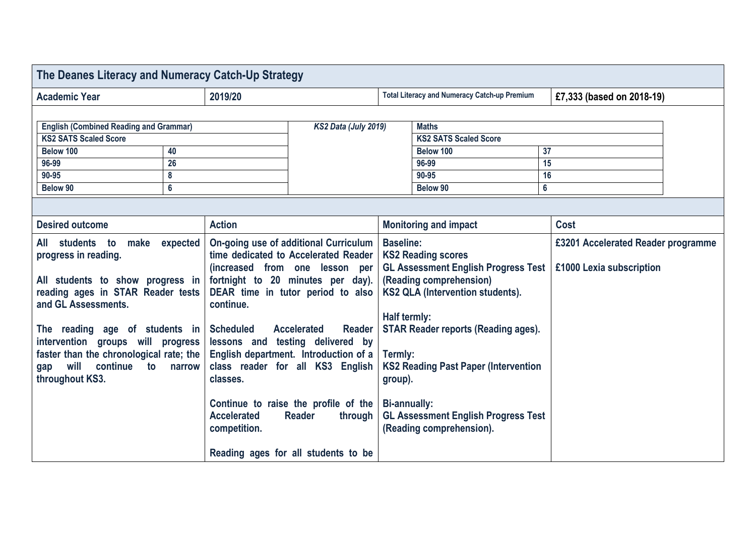| The Deanes Literacy and Numeracy Catch-Up Strategy                                                                                                                                                                                                                                                                                 |                |                                                                                                                                                                                                                                                                                                                                                                                                                                                                                                                                                 |  |                                                                                                                                                                                                                                                                                                                                                                                                |                              |                |                                                                |  |
|------------------------------------------------------------------------------------------------------------------------------------------------------------------------------------------------------------------------------------------------------------------------------------------------------------------------------------|----------------|-------------------------------------------------------------------------------------------------------------------------------------------------------------------------------------------------------------------------------------------------------------------------------------------------------------------------------------------------------------------------------------------------------------------------------------------------------------------------------------------------------------------------------------------------|--|------------------------------------------------------------------------------------------------------------------------------------------------------------------------------------------------------------------------------------------------------------------------------------------------------------------------------------------------------------------------------------------------|------------------------------|----------------|----------------------------------------------------------------|--|
| <b>Academic Year</b>                                                                                                                                                                                                                                                                                                               |                | 2019/20                                                                                                                                                                                                                                                                                                                                                                                                                                                                                                                                         |  | <b>Total Literacy and Numeracy Catch-up Premium</b>                                                                                                                                                                                                                                                                                                                                            |                              |                | £7,333 (based on 2018-19)                                      |  |
|                                                                                                                                                                                                                                                                                                                                    |                |                                                                                                                                                                                                                                                                                                                                                                                                                                                                                                                                                 |  |                                                                                                                                                                                                                                                                                                                                                                                                |                              |                |                                                                |  |
| <b>English (Combined Reading and Grammar)</b>                                                                                                                                                                                                                                                                                      |                | KS2 Data (July 2019)                                                                                                                                                                                                                                                                                                                                                                                                                                                                                                                            |  | <b>Maths</b>                                                                                                                                                                                                                                                                                                                                                                                   |                              |                |                                                                |  |
| <b>KS2 SATS Scaled Score</b>                                                                                                                                                                                                                                                                                                       |                |                                                                                                                                                                                                                                                                                                                                                                                                                                                                                                                                                 |  |                                                                                                                                                                                                                                                                                                                                                                                                | <b>KS2 SATS Scaled Score</b> |                |                                                                |  |
| Below 100<br>40                                                                                                                                                                                                                                                                                                                    |                |                                                                                                                                                                                                                                                                                                                                                                                                                                                                                                                                                 |  |                                                                                                                                                                                                                                                                                                                                                                                                | Below 100                    | 37             |                                                                |  |
| 96-99                                                                                                                                                                                                                                                                                                                              | 26             |                                                                                                                                                                                                                                                                                                                                                                                                                                                                                                                                                 |  |                                                                                                                                                                                                                                                                                                                                                                                                | 96-99                        | 15             |                                                                |  |
| 90-95                                                                                                                                                                                                                                                                                                                              | 8              |                                                                                                                                                                                                                                                                                                                                                                                                                                                                                                                                                 |  |                                                                                                                                                                                                                                                                                                                                                                                                | 90-95                        | 16             |                                                                |  |
| Below 90                                                                                                                                                                                                                                                                                                                           | $6\phantom{a}$ |                                                                                                                                                                                                                                                                                                                                                                                                                                                                                                                                                 |  | Below 90                                                                                                                                                                                                                                                                                                                                                                                       |                              | $6\phantom{a}$ |                                                                |  |
|                                                                                                                                                                                                                                                                                                                                    |                |                                                                                                                                                                                                                                                                                                                                                                                                                                                                                                                                                 |  |                                                                                                                                                                                                                                                                                                                                                                                                |                              |                |                                                                |  |
| <b>Desired outcome</b>                                                                                                                                                                                                                                                                                                             |                | <b>Action</b>                                                                                                                                                                                                                                                                                                                                                                                                                                                                                                                                   |  | <b>Monitoring and impact</b>                                                                                                                                                                                                                                                                                                                                                                   |                              | <b>Cost</b>    |                                                                |  |
| make expected<br>All students to<br>progress in reading.<br>All students to show progress in<br>reading ages in STAR Reader tests<br>and GL Assessments.<br>The reading age of students in<br>intervention groups will progress<br>faster than the chronological rate; the<br>continue to narrow<br>will<br>gap<br>throughout KS3. |                | On-going use of additional Curriculum<br>time dedicated to Accelerated Reader<br>(increased from one lesson per<br>fortnight to 20 minutes per day).<br>DEAR time in tutor period to also<br>continue.<br><b>Scheduled</b><br><b>Accelerated</b><br><b>Reader</b><br>lessons and testing delivered by<br>English department. Introduction of a<br>class reader for all KS3 English<br>classes.<br>Continue to raise the profile of the<br><b>Accelerated</b><br><b>Reader</b><br>through<br>competition.<br>Reading ages for all students to be |  | <b>Baseline:</b><br><b>KS2 Reading scores</b><br><b>GL Assessment English Progress Test</b><br>(Reading comprehension)<br>KS2 QLA (Intervention students).<br>Half termly:<br><b>STAR Reader reports (Reading ages).</b><br>Termly:<br><b>KS2 Reading Past Paper (Intervention</b><br>group).<br><b>Bi-annually:</b><br><b>GL Assessment English Progress Test</b><br>(Reading comprehension). |                              |                | £3201 Accelerated Reader programme<br>£1000 Lexia subscription |  |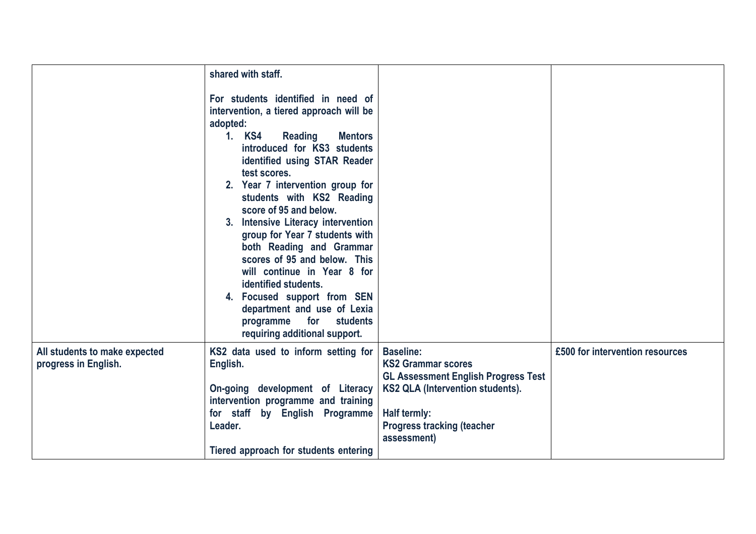|                                                       | shared with staff.<br>For students identified in need of<br>intervention, a tiered approach will be<br>adopted:<br>1. KS4<br><b>Reading</b><br><b>Mentors</b><br>introduced for KS3 students<br>identified using STAR Reader<br>test scores.<br>2. Year 7 intervention group for<br>students with KS2 Reading<br>score of 95 and below.<br>3. Intensive Literacy intervention<br>group for Year 7 students with<br>both Reading and Grammar<br>scores of 95 and below. This<br>will continue in Year 8 for<br>identified students.<br>4. Focused support from SEN<br>department and use of Lexia<br>for<br>students<br>programme<br>requiring additional support. |                                                                                                                                                                                                                   |                                 |
|-------------------------------------------------------|-------------------------------------------------------------------------------------------------------------------------------------------------------------------------------------------------------------------------------------------------------------------------------------------------------------------------------------------------------------------------------------------------------------------------------------------------------------------------------------------------------------------------------------------------------------------------------------------------------------------------------------------------------------------|-------------------------------------------------------------------------------------------------------------------------------------------------------------------------------------------------------------------|---------------------------------|
| All students to make expected<br>progress in English. | KS2 data used to inform setting for<br>English.<br>On-going development of Literacy<br>intervention programme and training<br>for staff by English Programme<br>Leader.<br>Tiered approach for students entering                                                                                                                                                                                                                                                                                                                                                                                                                                                  | <b>Baseline:</b><br><b>KS2 Grammar scores</b><br><b>GL Assessment English Progress Test</b><br><b>KS2 QLA (Intervention students).</b><br><b>Half termly:</b><br><b>Progress tracking (teacher</b><br>assessment) | £500 for intervention resources |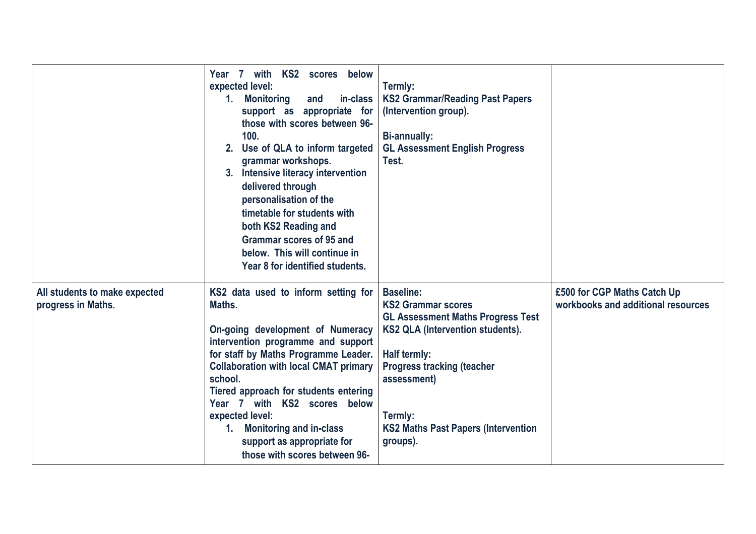|                                                     | KS2 scores below<br>Year 7<br>with<br>expected level:<br><b>Monitoring</b><br>and<br>in-class<br>1.<br>support as appropriate for<br>those with scores between 96-<br>100.<br>2. Use of QLA to inform targeted<br>grammar workshops.<br>Intensive literacy intervention<br>3.<br>delivered through<br>personalisation of the<br>timetable for students with<br>both KS2 Reading and<br><b>Grammar scores of 95 and</b><br>below. This will continue in<br>Year 8 for identified students. | Termly:<br><b>KS2 Grammar/Reading Past Papers</b><br>(Intervention group).<br><b>Bi-annually:</b><br><b>GL Assessment English Progress</b><br>Test.                                                                                                                    |                                                                   |
|-----------------------------------------------------|-------------------------------------------------------------------------------------------------------------------------------------------------------------------------------------------------------------------------------------------------------------------------------------------------------------------------------------------------------------------------------------------------------------------------------------------------------------------------------------------|------------------------------------------------------------------------------------------------------------------------------------------------------------------------------------------------------------------------------------------------------------------------|-------------------------------------------------------------------|
| All students to make expected<br>progress in Maths. | KS2 data used to inform setting for<br>Maths.<br>On-going development of Numeracy<br>intervention programme and support<br>for staff by Maths Programme Leader.<br><b>Collaboration with local CMAT primary</b><br>school.<br>Tiered approach for students entering<br>Year 7 with KS2 scores below<br>expected level:<br><b>Monitoring and in-class</b><br>1.<br>support as appropriate for<br>those with scores between 96-                                                             | <b>Baseline:</b><br><b>KS2 Grammar scores</b><br><b>GL Assessment Maths Progress Test</b><br>KS2 QLA (Intervention students).<br>Half termly:<br><b>Progress tracking (teacher</b><br>assessment)<br>Termly:<br><b>KS2 Maths Past Papers (Intervention</b><br>groups). | £500 for CGP Maths Catch Up<br>workbooks and additional resources |